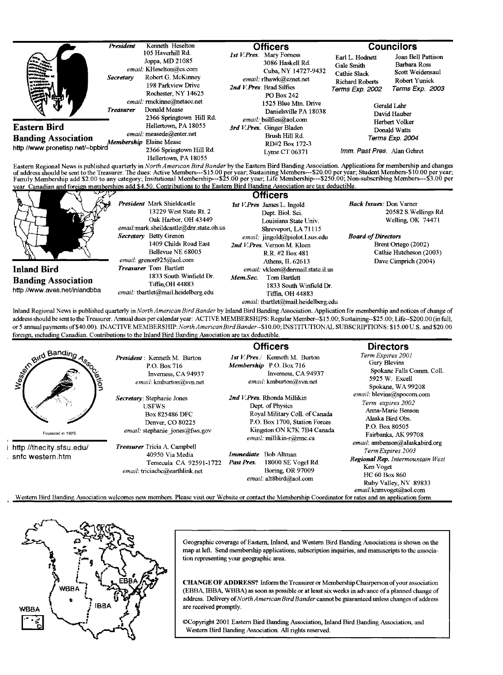|                                                                                | President        | Kenneth Heselton                                                                                                                   | <b>Officers</b>                                                                                                                                  |                                                                                                                        | <b>Councilors</b>                                                                          |  |
|--------------------------------------------------------------------------------|------------------|------------------------------------------------------------------------------------------------------------------------------------|--------------------------------------------------------------------------------------------------------------------------------------------------|------------------------------------------------------------------------------------------------------------------------|--------------------------------------------------------------------------------------------|--|
| <b>CONTRACTOR</b><br>فستحت<br>ð pr                                             | Secretary        | 105 Haverhill Rd.<br>Joppa, MD 21085<br>email: KHeselton@cs.com<br>Robert G. McKinney<br>198 Parkview Drive<br>Rochester, NY 14625 | 1st V.Pres. Mary Forness<br>3086 Haskell Rd.<br>Cuba, NY 14727-9432<br>email: rlhawk@eznet.net<br>2nd V. Pres. Brad Silfies<br><b>PO Box 242</b> | Earl L. Hodnett<br>Gale Smith<br>Cathie Slack<br><b>Richard Roberts</b><br>Terms Exp. 2002                             | Joan Bell Pattison<br>Barbara Ross<br>Scott Weidensaul<br>Robert Yunick<br>Terms Exp. 2003 |  |
| Æ                                                                              | <b>Treasurer</b> | email: mnckinne@netacc.net<br>Donald Mease<br>2366 Springtown Hill Rd.                                                             | 1525 Blue Mtn. Drive<br>Danielsville PA 18038<br>email: bsilfies@aol.com                                                                         | Gerald Lahr<br>David Hauber<br>Herbert Volker<br>Donald Watts<br>Terms Exp. 2004<br><i>Imm. Past Pres. Alan Gehret</i> |                                                                                            |  |
| Eastern Bird<br><b>Banding Association</b><br>http://www.pronetisp.net/~bpbird |                  | Hellertown, PA 18055<br>email: measede@enter.net<br>Membership Elaine Mease<br>2366 Springtown Hill Rd.<br>Hellertown PA 18055     | 3rd V.Pres. Ginger Bladen<br>Brush Hill Rd.<br>RD#2 Box 172-3<br>Lyme CT 06371                                                                   |                                                                                                                        |                                                                                            |  |

Eastern Regional News is published quarterly in North American Bird Bander by the Eastern Bird Banding Association. Applications for membership and changes of address should be sent to the Treasurer. The dues: Active Members--- \$15.00 per year; Sustaining Members--- \$25.00 per year; Sustaining Members--- \$25.000 per year; Sustaining Members--- \$25.000 per year; Sustaining Mem vear Canadian and foreign memberships add \$4.50. Contributions to the Eastern Bird Banding Association are tax deductible.

| President Mark Shieldcastle<br>13229 West State Rt. 2<br>Oak Harbor, OH 43449<br>email:mark.sheildcastle@dnr.state.oh.us<br>Secretary Betty Grenon<br>1409 Childs Road East<br>Bellevue NE 68005<br>email: $green925$ @aol.com<br><b>Treasurer</b> Tom Bartlett<br><b>Inland Bird</b><br>1833 South Winfield Dr.<br><b>Banding Association</b><br><b>Tiffin OH 44883</b><br>http //www.aves.net/inlandbba<br>email: tbartlet@mail.heidelberg.edu | 1st V. Pres James L. Ingold<br>Dept. Biol. Sci.<br>Louisiana State Univ.<br>Shreveport, LA 71115<br>email: jingold@piolot.Lsus.edu<br>2nd V. Pres. Vernon M. Kleen<br>R.R. #2 Box 481<br>Athens, IL 62613<br>email: vkleen@dnrmail.state.il.us<br>Mem.Sec.<br>Tom Bartlett<br>1833 South Winfield Dr.<br>Tiffin, OH 44883<br>email: tbartlet@mail.heidelberg.edu | 20582 S. Wellings Rd.<br>Welling, OK 74471<br><b>Board of Directors</b><br>Brent Ortego (2002)<br>Cathie Hutcheson (2003)<br>Dave Cimprich (2004) |
|--------------------------------------------------------------------------------------------------------------------------------------------------------------------------------------------------------------------------------------------------------------------------------------------------------------------------------------------------------------------------------------------------------------------------------------------------|------------------------------------------------------------------------------------------------------------------------------------------------------------------------------------------------------------------------------------------------------------------------------------------------------------------------------------------------------------------|---------------------------------------------------------------------------------------------------------------------------------------------------|
|--------------------------------------------------------------------------------------------------------------------------------------------------------------------------------------------------------------------------------------------------------------------------------------------------------------------------------------------------------------------------------------------------------------------------------------------------|------------------------------------------------------------------------------------------------------------------------------------------------------------------------------------------------------------------------------------------------------------------------------------------------------------------------------------------------------------------|---------------------------------------------------------------------------------------------------------------------------------------------------|

Inland Regional News is published quarterly in North American Bird Bander by Inland Bird Banding Association. Application for membership and notices of change of address should be sent to the Treasurer. Annual dues per calendar year: ACTIVE MEMBERSHIPS: Regular Member--\$15.00; Sustaining--\$25.00; Life--\$200.00 (in full, or 5 annual payments of \$40.00). INACTIVE MEMBERSHIP: North American Bird Bander--\$10.00; INSTITUTIONAL SUBSCRIPTIONS: \$15.00 U.S. and \$20.00 foreign, including Canadian. Contributions to the Inland Bird Banding Association are tax deductible.

**Officers** Bird Bandin 1st V.Pres./ Kenneth M. Burton Term Expires 2001 President: Kenneth M. Burton Membership P.O. Box 716 P.O. Box 716 Inverness, CA 94937 Inverness, CA 94937 email: kmburton@svn.net email: kmburton@svn.net 2nd V.Pres. Rhonda Millikin Secretary: Stephanie Jones **USFWS** Dept. of Physics **Box 825486 DFC** Royal Military Coll. of Canada P.O. Box 1700, Station Forces Denver, CO 80225 email: stephanie jones@fws.gov Kingston ON K7K 7B4 Canada Founded in 1925 email: millikin-r@rmc.ca http //thecity.sfsu.edu/ Treasurer Tricia A. Campbell 40950 Via Media Immediate Bob Altman snfc western.htm Temecula CA 92591-1722 Past Pres. 18000 SE Vogel Rd.

Western Bird Banding Association welcomes new members. Please visit our Website or contact the Membership Coordinator for rates and an application form.

email: triciacbc@earthlink.net



West<sub>ic</sub>

Geographic coverage of Eastern, Inland, and Western Bird Banding Associations is shown on the map at left. Send membership applications, subscription inquiries, and manuscripts to the association representing your geographic area.

Boring, OR 97009

email: alt8bird@aol.com

**CHANGE OF ADDRESS?** Inform the Treasurer or Membership Chairperson of your association (EBBA, IBBA, WBBA) as soon as possible or at least six weeks in advance of a planned change of address. Delivery of North American Bird Bander cannot be guaranteed unless changes of address are received promptly.

©Copyright 2001 Eastern Bird Banding Association, Inland Bird Banding Association, and Western Bird Banding Association. All rights reserved.

**Directors** 

Gary Blevins Spokane Falls Comm. Coll. 5925 W. Excell Spokane, WA 99208 email: blevins@spocom.com Term expires 2002 Anna-Marie Benson Alaska Bird Obs. P.O. Box 80505 Fairbanks, AK 99708 email: ambenson@alaskabird.org Term Expires 2003 Regional Rep. Intermountain West Ken Voget HC 60 Box 860 Ruby Valley, NV 89833 email:knmvoget@aol.com